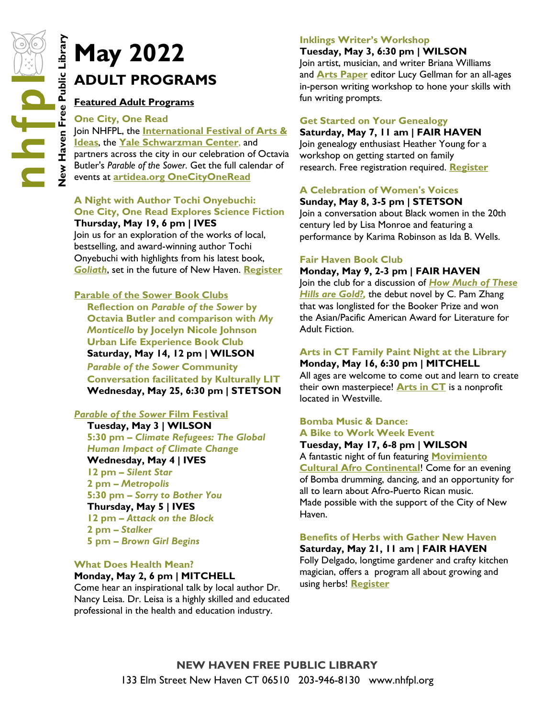# **ADULT PROGRAMS**

### **Featured Adult Programs**

### **One City, One Read** Join NHFPL, the **[International Festival of Arts &](https://www.artidea.org/OneCityOneRead)  [Ideas](https://www.artidea.org/OneCityOneRead)**, the **[Yale Schwarzman Center](https://schwarzman.yale.edu/)**, and partners across the city in our celebration of Octavia Butler's *Parable of the Sower*. Get the full calendar of events at **[artidea.org OneCityOneRead](https://www.artidea.org/OneCityOneRead)**

#### **A Night with Author Tochi Onyebuchi: One City, One Read Explores Science Fiction Thursday, May 19, 6 pm | IVES**

Join us for an exploration of the works of local, bestselling, and award-winning author Tochi Onyebuchi with highlights from his latest book, *[Goliath](http://nhave-encore.iii.com/iii/encore/record/C__Rb1632119__SOnyebuchi%2C%20Tochi%2C__P0%2C1__Orightresult__X4?lang=eng&suite=cobalt)*, set in the future of New Haven. **[Register](https://nhfpl.libnet.info/event/6274890)**

### **Parable of the Sower Book Clubs**

**Reflection on** *Parable of the Sower* **by Octavia Butler and comparison with** *My Monticello* **by Jocelyn Nicole Johnson Urban Life Experience Book Club Saturday, May 14, 12 pm | WILSON** *Parable of the Sower* **Community Conversation facilitated by Kulturally LIT Wednesday, May 25, 6:30 pm | STETSON**

### *Parable of the Sower* **Film Festival**

**Tuesday, May 3 | WILSON 5:30 pm –** *Climate Refugees: The Global Human Impact of Climate Change* **Wednesday, May 4 | IVES 12 pm –** *Silent Star* **2 pm –** *Metropolis* **5:30 pm –** *Sorry to Bother You* **Thursday, May 5 | IVES 12 pm –** *Attack on the Block* **2 pm –** *Stalker* **5 pm –** *Brown Girl Begins*

### **What Does Health Mean?**

**Monday, May 2, 6 pm | MITCHELL** Come hear an inspirational talk by local author Dr.

Nancy Leisa. Dr. Leisa is a highly skilled and educated professional in the health and education industry.

### **Inklings Writer's Workshop**

### **Tuesday, May 3, 6:30 pm | WILSON**

Join artist, musician, and writer Briana Williams and **[Arts Paper](https://www.newhavenarts.org/arts-paper/articles)** editor Lucy Gellman for an all-ages in-person writing workshop to hone your skills with fun writing prompts.

### **Get Started on Your Genealogy**

### **Saturday, May 7, 11 am | FAIR HAVEN**

Join genealogy enthusiast Heather Young for a workshop on getting started on family research. Free registration required. **[Register](https://nhfpl.libnet.info/event/6441993)**

### **A Celebration of Women's Voices**

### **Sunday, May 8, 3-5 pm | STETSON**

Join a conversation about Black women in the 20th century led by Lisa Monroe and featuring a performance by Karima Robinson as Ida B. Wells.

### **Fair Haven Book Club**

### **Monday, May 9, 2-3 pm | FAIR HAVEN** Join the club for a discussion of *[How Much of These](http://nhave-encore.iii.com/iii/encore/record/C__Rb1611014__SHow%20Much%20of%20These%20Hills%20are%20Gold__Orightresult__X1?lang=eng&suite=cobalt)*  **Hills are Gold?**, the debut novel by C. Pam Zhang

that was longlisted for the Booker Prize and won the Asian/Pacific American Award for Literature for Adult Fiction.

### **Arts in CT Family Paint Night at the Library Monday, May 16, 6:30 pm | MITCHELL**

All ages are welcome to come out and learn to create their own masterpiece! **[Arts in CT](https://www.artsinct.org/)** is a nonprofit located in Westville.

### **Bomba Music & Dance: A Bike to Work Week Event**

### **Tuesday, May 17, 6-8 pm | WILSON**

A fantastic night of fun featuring **[Movimiento](https://www.movimientoculturalct.org/)  [Cultural Afro Continental](https://www.movimientoculturalct.org/)!** Come for an evening of Bomba drumming, dancing, and an opportunity for all to learn about Afro-Puerto Rican music. Made possible with the support of the City of New Haven.

### **Benefits of Herbs with Gather New Haven**

**Saturday, May 21, 11 am | FAIR HAVEN** Folly Delgado, longtime gardener and crafty kitchen magician, offers a program all about growing and using herbs! **[Register](https://nhfpl.libnet.info/event/6454990)**